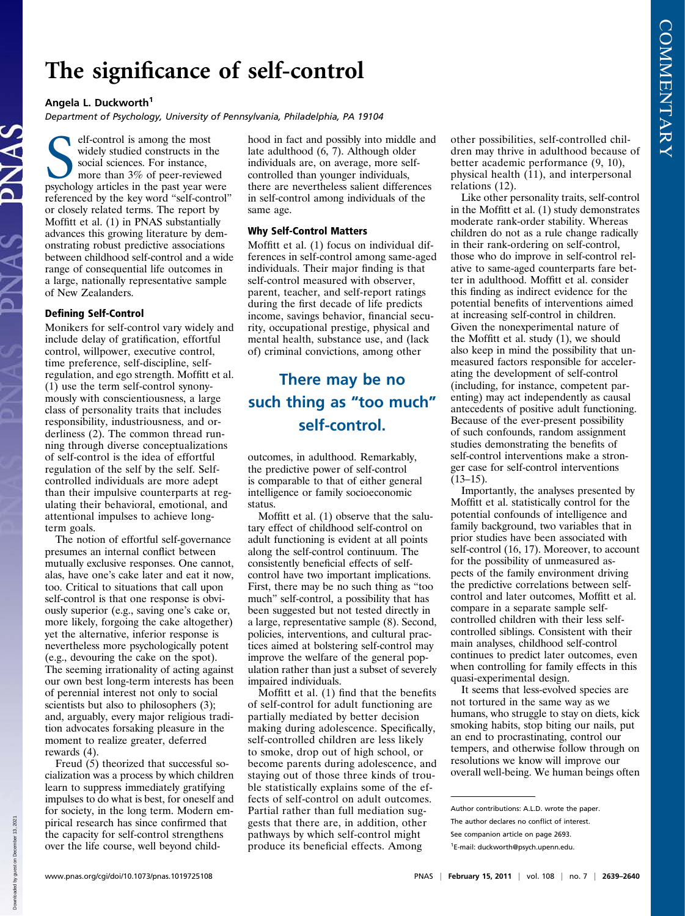## The significance of self-control<br>Angela L. Duckworth<sup>1</sup>

A**ngela L. Duckwortn**<br>Department of Psychology, University of Pennsylvania, Philadelphia, PA 19104

elf-control is among the most<br>widely studied constructs in the<br>social sciences. For instance,<br>more than 3% of peer-reviewed<br>psychology articles in the past year were elf-control is among the most widely studied constructs in the social sciences. For instance, more than 3% of peer-reviewed referenced by the key word "self-control" or closely related terms. The report by Moffitt et al. (1) in PNAS substantially advances this growing literature by demonstrating robust predictive associations between childhood self-control and a wide range of consequential life outcomes in a large, nationally representative sample of New Zealanders.

## Defining Self-Control

Monikers for self-control vary widely and include delay of gratification, effortful control, willpower, executive control, time preference, self-discipline, selfregulation, and ego strength. Moffitt et al. (1) use the term self-control synonymously with conscientiousness, a large class of personality traits that includes responsibility, industriousness, and orderliness (2). The common thread running through diverse conceptualizations of self-control is the idea of effortful regulation of the self by the self. Selfcontrolled individuals are more adept than their impulsive counterparts at regulating their behavioral, emotional, and attentional impulses to achieve longterm goals.

The notion of effortful self-governance presumes an internal conflict between mutually exclusive responses. One cannot, alas, have one's cake later and eat it now, too. Critical to situations that call upon self-control is that one response is obviously superior (e.g., saving one's cake or, more likely, forgoing the cake altogether) yet the alternative, inferior response is nevertheless more psychologically potent (e.g., devouring the cake on the spot). The seeming irrationality of acting against our own best long-term interests has been of perennial interest not only to social scientists but also to philosophers (3); and, arguably, every major religious tradition advocates forsaking pleasure in the moment to realize greater, deferred rewards (4).

Freud (5) theorized that successful socialization was a process by which children learn to suppress immediately gratifying impulses to do what is best, for oneself and for society, in the long term. Modern empirical research has since confirmed that the capacity for self-control strengthens over the life course, well beyond childhood in fact and possibly into middle and late adulthood (6, 7). Although older individuals are, on average, more selfcontrolled than younger individuals, there are nevertheless salient differences in self-control among individuals of the same age.

Moffitt et al. (1) focus on individual differences in self-control among same-aged individuals. Their major finding is that self-control measured with observer, parent, teacher, and self-report ratings during the first decade of life predicts income, savings behavior, financial security, occupational prestige, physical and mental health, substance use, and (lack of) criminal convictions, among other

## such thing as "too much" self-control.

outcomes, in adulthood. Remarkably, the predictive power of self-control is comparable to that of either general intelligence or family socioeconomic status.

Moffitt et al. (1) observe that the salutary effect of childhood self-control on adult functioning is evident at all points along the self-control continuum. The consistently beneficial effects of selfcontrol have two important implications. First, there may be no such thing as "too much" self-control, a possibility that has been suggested but not tested directly in a large, representative sample (8). Second, policies, interventions, and cultural practices aimed at bolstering self-control may improve the welfare of the general population rather than just a subset of severely impaired individuals.

Moffitt et al. (1) find that the benefits of self-control for adult functioning are partially mediated by better decision making during adolescence. Specifically, self-controlled children are less likely to smoke, drop out of high school, or become parents during adolescence, and staying out of those three kinds of trouble statistically explains some of the effects of self-control on adult outcomes. Partial rather than full mediation suggests that there are, in addition, other pathways by which self-control might produce its beneficial effects. Among

other possibilities, self-controlled children may thrive in adulthood because of better academic performance (9, 10), physical health (11), and interpersonal relations (12).

Like other personality traits, self-control in the Moffitt et al. (1) study demonstrates moderate rank-order stability. Whereas children do not as a rule change radically in their rank-ordering on self-control, those who do improve in self-control relative to same-aged counterparts fare better in adulthood. Moffitt et al. consider this finding as indirect evidence for the potential benefits of interventions aimed at increasing self-control in children. Given the nonexperimental nature of the Moffitt et al. study (1), we should also keep in mind the possibility that unmeasured factors responsible for accelerating the development of self-control (including, for instance, competent parenting) may act independently as causal antecedents of positive adult functioning. Because of the ever-present possibility of such confounds, random assignment studies demonstrating the benefits of self-control interventions make a stronger case for self-control interventions  $(13-15)$ .

Importantly, the analyses presented by Moffitt et al. statistically control for the potential confounds of intelligence and family background, two variables that in prior studies have been associated with self-control (16, 17). Moreover, to account for the possibility of unmeasured aspects of the family environment driving the predictive correlations between selfcontrol and later outcomes, Moffitt et al. compare in a separate sample selfcontrolled children with their less selfcontrolled siblings. Consistent with their main analyses, childhood self-control continues to predict later outcomes, even when controlling for family effects in this quasi-experimental design.

It seems that less-evolved species are not tortured in the same way as we humans, who struggle to stay on diets, kick smoking habits, stop biting our nails, put an end to procrastinating, control our tempers, and otherwise follow through on resolutions we know will improve our overall well-being. We human beings often

Author contributions: A.L.D. wrote the paper. The author declares no conflict of interest. See companion article on page 2693.

<sup>1</sup> E-mail: [duckworth@psych.upenn.edu](mailto:duckworth@psych.upenn.edu).